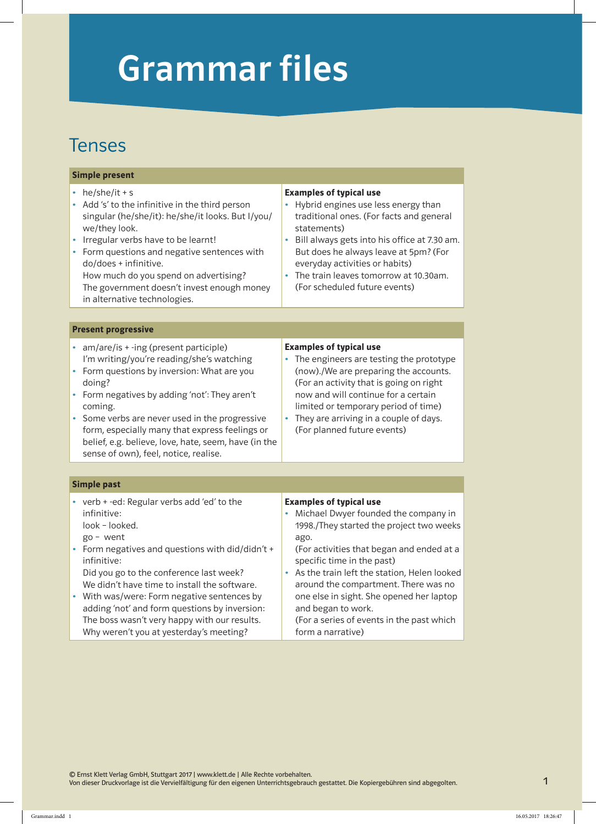# Grammar files

### Tenses

#### Simple present

- he/she/it + s
- • Add 's' to the infinitive in the third person singular (he/she/it): he/she/it looks. But I/you/ we/they look.
- Irregular verbs have to be learnt!
- Form questions and negative sentences with do/does + infinitive.

How much do you spend on advertising? The government doesn't invest enough money in alternative technologies.

### Examples of typical use

- Hybrid engines use less energy than traditional ones. (For facts and general statements)
- Bill always gets into his office at 7.30 am. But does he always leave at 5pm? (For everyday activities or habits)
- The train leaves tomorrow at 10.30am. (For scheduled future events)

#### Present progressive

- am/are/is + -ing (present participle) I'm writing/you're reading/she's watching
- Form questions by inversion: What are you doing?
- Form negatives by adding 'not': They aren't coming.
- Some verbs are never used in the progressive form, especially many that express feelings or belief, e.g. believe, love, hate, seem, have (in the sense of own), feel, notice, realise.

#### Examples of typical use

- The engineers are testing the prototype (now)./We are preparing the accounts. (For an activity that is going on right now and will continue for a certain limited or temporary period of time)
- They are arriving in a couple of days. (For planned future events)

#### Simple past

- • verb + -ed: Regular verbs add 'ed' to the infinitive:
	- look looked.
	- go went
- Form negatives and questions with did/didn't + infinitive:

Did you go to the conference last week? We didn't have time to install the software.

• With was/were: Form negative sentences by adding 'not' and form questions by inversion: The boss wasn't very happy with our results. Why weren't you at yesterday's meeting?

#### Examples of typical use

• Michael Dwyer founded the company in 1998./They started the project two weeks ago.

(For activities that began and ended at a specific time in the past)

As the train left the station, Helen looked around the compartment. There was no one else in sight. She opened her laptop and began to work.

(For a series of events in the past which form a narrative)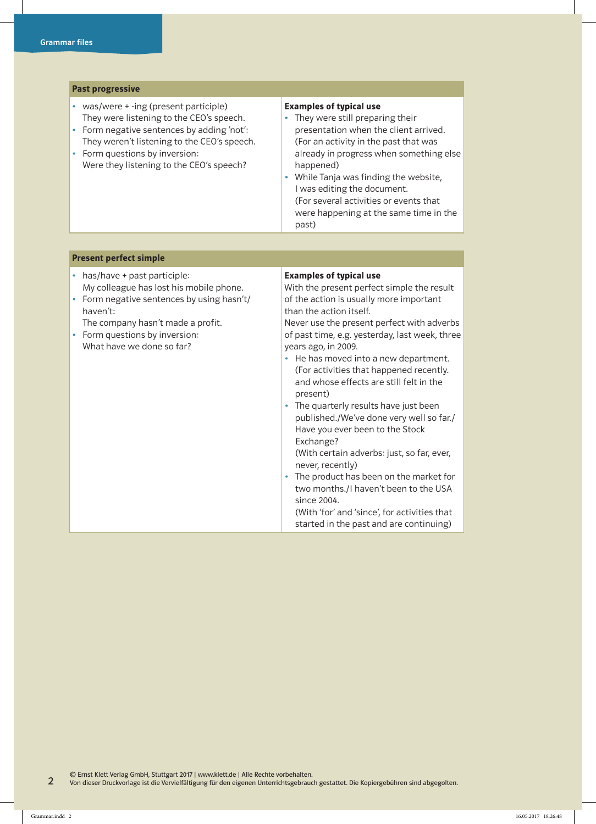| <b>Past progressive</b>                                                                                                                                                                                                                                          |                                                                                                                                                                                                                                                                                                                                                                                                                                                                                                                                  |  |
|------------------------------------------------------------------------------------------------------------------------------------------------------------------------------------------------------------------------------------------------------------------|----------------------------------------------------------------------------------------------------------------------------------------------------------------------------------------------------------------------------------------------------------------------------------------------------------------------------------------------------------------------------------------------------------------------------------------------------------------------------------------------------------------------------------|--|
| • was/were + -ing (present participle)<br>They were listening to the CEO's speech.<br>Form negative sentences by adding 'not':<br>٠<br>They weren't listening to the CEO's speech.<br>• Form questions by inversion:<br>Were they listening to the CEO's speech? | <b>Examples of typical use</b><br>They were still preparing their<br>$\bullet$<br>presentation when the client arrived.<br>(For an activity in the past that was<br>already in progress when something else<br>happened)<br>While Tanja was finding the website,<br>٠<br>I was editing the document.<br>(For several activities or events that<br>were happening at the same time in the<br>past)                                                                                                                                |  |
|                                                                                                                                                                                                                                                                  |                                                                                                                                                                                                                                                                                                                                                                                                                                                                                                                                  |  |
| <b>Present perfect simple</b>                                                                                                                                                                                                                                    |                                                                                                                                                                                                                                                                                                                                                                                                                                                                                                                                  |  |
| • has/have + past participle:<br>My colleague has lost his mobile phone.<br>Form negative sentences by using hasn't/<br>$\bullet$<br>haven't:<br>The company hasn't made a profit.<br>• Form questions by inversion:<br>What have we done so far?                | <b>Examples of typical use</b><br>With the present perfect simple the result<br>of the action is usually more important<br>than the action itself.<br>Never use the present perfect with adverbs<br>of past time, e.g. yesterday, last week, three<br>years ago, in 2009.<br>He has moved into a new department.<br>$\bullet$<br>(For activities that happened recently.<br>and whose effects are still felt in the<br>present)<br>The quarterly results have just been<br>$\bullet$<br>published./We've done very well so far./ |  |

Have you ever been to the Stock

(With certain adverbs: just, so far, ever,

• The product has been on the market for two months./I haven't been to the USA

(With 'for' and 'since', for activities that started in the past and are continuing)

Exchange?

since 2004.

never, recently)

2 © Ernst Klett Verlag GmbH, Stuttgart 2017 | www.klett.de | Alle Rechte vorbehalten. Von dieser Druckvorlage ist die Vervielfältigung für den eigenen Unterrichtsgebrauch gestattet. Die Kopiergebühren sind abgegolten.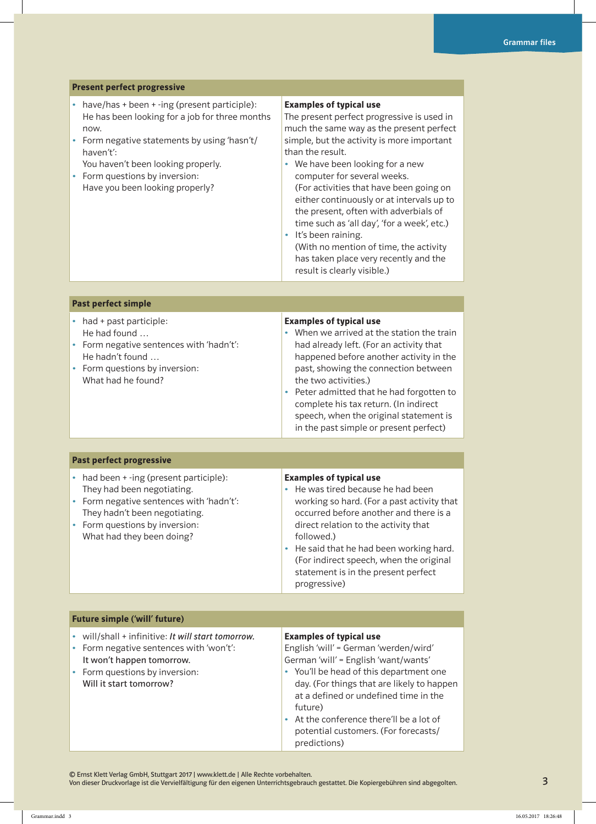#### Present perfect progressive

- $\bullet$  have/has + been + -ing (present participle): He has been looking for a job for three months now.
- • Form negative statements by using 'hasn't/ haven't':
- You haven't been looking properly.
- Form questions by inversion: Have you been looking properly?

#### Examples of typical use

The present perfect progressive is used in much the same way as the present perfect simple, but the activity is more important than the result.

• We have been looking for a new computer for several weeks. (For activities that have been going on either continuously or at intervals up to the present, often with adverbials of time such as 'all day', 'for a week', etc.) • It's been raining.

(With no mention of time, the activity has taken place very recently and the result is clearly visible.)

#### Past perfect simple

- had + past participle: He had found …
- • Form negative sentences with 'hadn't': He hadn't found …
- Form questions by inversion: What had he found?

#### Examples of typical use

- When we arrived at the station the train had already left. (For an activity that happened before another activity in the past, showing the connection between the two activities.)
- • Peter admitted that he had forgotten to complete his tax return. (In indirect speech, when the original statement is in the past simple or present perfect)

#### Past perfect progressive

- had been + -ing (present participle): They had been negotiating. • Form negative sentences with 'hadn't':
- They hadn't been negotiating.
- Form questions by inversion: What had they been doing?

#### Examples of typical use

- He was tired because he had been working so hard. (For a past activity that occurred before another and there is a direct relation to the activity that followed.)
- He said that he had been working hard. (For indirect speech, when the original statement is in the present perfect progressive)

#### Future simple ('will' future)

• will/shall + infinitive: It will start tomorrow.

- • Form negative sentences with 'won't': It won't happen tomorrow.
- Form questions by inversion: Will it start tomorrow?

#### Examples of typical use

English 'will' = German 'werden/wird' German 'will' = English 'want/wants'

- • You'll be head of this department one day. (For things that are likely to happen at a defined or undefined time in the future)
- • At the conference there'll be a lot of potential customers. (For forecasts/ predictions)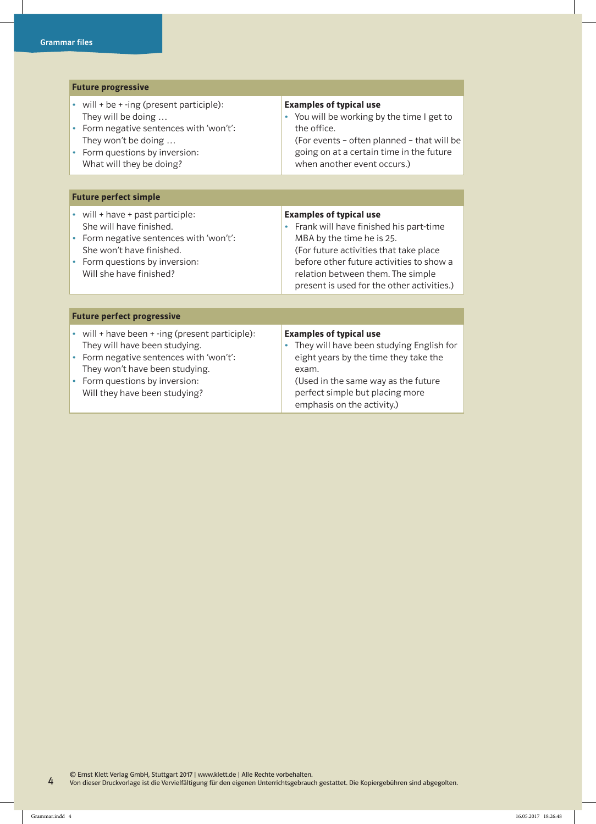| <b>Future progressive</b>                                                                                                                                                                                                              |                                                                                                                                                                                                                                                                                     |  |  |
|----------------------------------------------------------------------------------------------------------------------------------------------------------------------------------------------------------------------------------------|-------------------------------------------------------------------------------------------------------------------------------------------------------------------------------------------------------------------------------------------------------------------------------------|--|--|
| will + be + -ing (present participle):<br>They will be doing<br>Form negative sentences with 'won't':<br>$\bullet$<br>They won't be doing<br>Form questions by inversion:<br>What will they be doing?                                  | <b>Examples of typical use</b><br>• You will be working by the time I get to<br>the office.<br>(For events - often planned - that will be<br>going on at a certain time in the future<br>when another event occurs.)                                                                |  |  |
|                                                                                                                                                                                                                                        |                                                                                                                                                                                                                                                                                     |  |  |
| <b>Future perfect simple</b>                                                                                                                                                                                                           |                                                                                                                                                                                                                                                                                     |  |  |
| • will + have + past participle:<br>She will have finished.<br>Form negative sentences with 'won't':<br>She won't have finished.<br>Form questions by inversion:<br>Will she have finished?                                            | <b>Examples of typical use</b><br>Frank will have finished his part-time<br>۰<br>MBA by the time he is 25.<br>(For future activities that take place<br>before other future activities to show a<br>relation between them. The simple<br>present is used for the other activities.) |  |  |
|                                                                                                                                                                                                                                        |                                                                                                                                                                                                                                                                                     |  |  |
| <b>Future perfect progressive</b>                                                                                                                                                                                                      |                                                                                                                                                                                                                                                                                     |  |  |
| • will + have been + -ing (present participle):<br>They will have been studying.<br>Form negative sentences with 'won't':<br>٠<br>They won't have been studying.<br>Form questions by inversion:<br>٠<br>Will they have been studying? | <b>Examples of typical use</b><br>They will have been studying English for<br>۰<br>eight years by the time they take the<br>exam.<br>(Used in the same way as the future<br>perfect simple but placing more<br>emphasis on the activity.)                                           |  |  |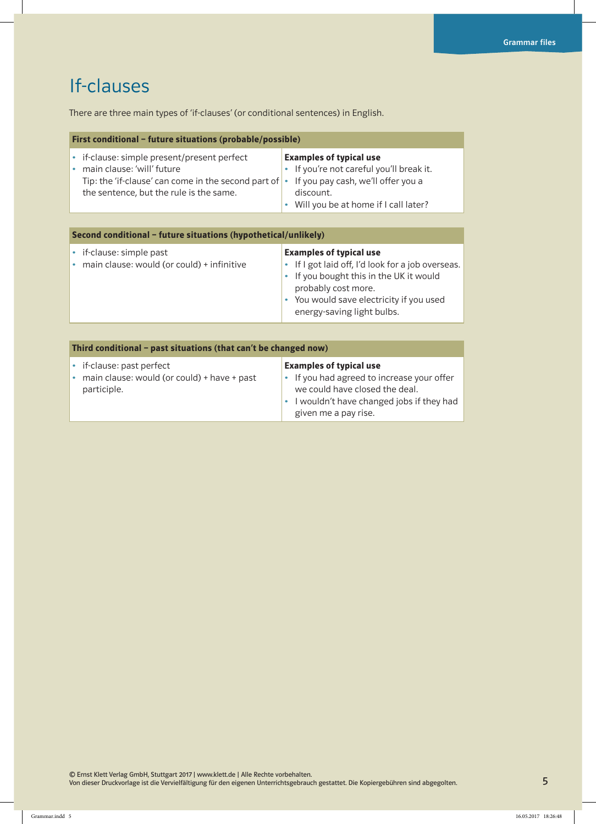### If-clauses

There are three main types of 'if-clauses' (or conditional sentences) in English.

| First conditional – future situations (probable/possible)                                                                                                                             |                                                                                                                                                                         |  |
|---------------------------------------------------------------------------------------------------------------------------------------------------------------------------------------|-------------------------------------------------------------------------------------------------------------------------------------------------------------------------|--|
| • if-clause: simple present/present perfect<br>• main clause: 'will' future<br>Tip: the 'if-clause' can come in the second part of $\cdot$<br>the sentence, but the rule is the same. | <b>Examples of typical use</b><br>• If you're not careful you'll break it.<br>If you pay cash, we'll offer you a<br>discount.<br>• Will you be at home if I call later? |  |

| Second conditional – future situations (hypothetical/unlikely)         |                                                                                                                                                                                                                                 |  |
|------------------------------------------------------------------------|---------------------------------------------------------------------------------------------------------------------------------------------------------------------------------------------------------------------------------|--|
| if-clause: simple past<br>• main clause: would (or could) + infinitive | <b>Examples of typical use</b><br>• If I got laid off, I'd look for a job overseas.<br>• If you bought this in the UK it would<br>probably cost more.<br>• You would save electricity if you used<br>energy-saving light bulbs. |  |
|                                                                        |                                                                                                                                                                                                                                 |  |

| Third conditional - past situations (that can't be changed now)                           |                                                                                                                                                                                      |  |
|-------------------------------------------------------------------------------------------|--------------------------------------------------------------------------------------------------------------------------------------------------------------------------------------|--|
| • if-clause: past perfect<br>• main clause: would (or could) + have + past<br>participle. | <b>Examples of typical use</b><br>• If you had agreed to increase your offer<br>we could have closed the deal.<br>• I wouldn't have changed jobs if they had<br>given me a pay rise. |  |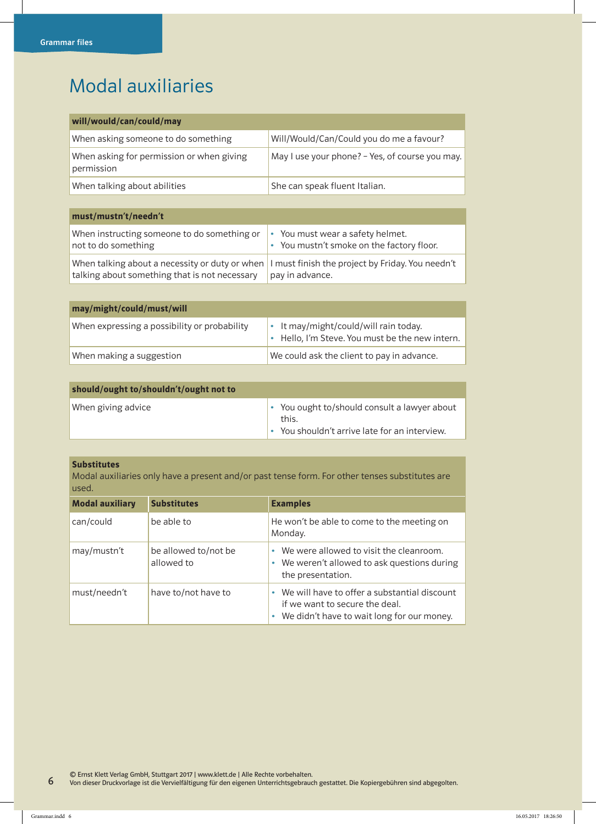### Modal auxiliaries

| will/would/can/could/may                                |                                                 |
|---------------------------------------------------------|-------------------------------------------------|
| When asking someone to do something                     | Will/Would/Can/Could you do me a favour?        |
| When asking for permission or when giving<br>permission | May I use your phone? - Yes, of course you may. |
| When talking about abilities                            | She can speak fluent Italian.                   |

| must/mustn't/needn't                                                                                                                             |                                                                                        |
|--------------------------------------------------------------------------------------------------------------------------------------------------|----------------------------------------------------------------------------------------|
| When instructing someone to do something or<br>not to do something                                                                               | You must wear a safety helmet.<br>$\bullet$<br>You mustn't smoke on the factory floor. |
| When talking about a necessity or duty or when I must finish the project by Friday. You needn't<br>talking about something that is not necessary | pay in advance.                                                                        |

| may/might/could/must/will                    |                                                                                          |
|----------------------------------------------|------------------------------------------------------------------------------------------|
| When expressing a possibility or probability | • It may/might/could/will rain today.<br>• Hello, I'm Steve. You must be the new intern. |
| When making a suggestion                     | We could ask the client to pay in advance.                                               |

| should/ought to/shouldn't/ought not to |                                                                                                        |
|----------------------------------------|--------------------------------------------------------------------------------------------------------|
| When giving advice                     | • You ought to/should consult a lawyer about<br>this.<br>• You shouldn't arrive late for an interview. |

#### Substitutes

Modal auxiliaries only have a present and/or past tense form. For other tenses substitutes are used.

| <b>Modal auxiliary</b> | <b>Substitutes</b>                 | <b>Examples</b>                                                                                                                             |
|------------------------|------------------------------------|---------------------------------------------------------------------------------------------------------------------------------------------|
| can/could              | be able to                         | He won't be able to come to the meeting on<br>Monday.                                                                                       |
| may/mustn't            | be allowed to/not be<br>allowed to | We were allowed to visit the cleanroom.<br>We weren't allowed to ask questions during<br>the presentation.                                  |
| must/needn't           | have to/not have to                | We will have to offer a substantial discount<br>$\bullet$<br>if we want to secure the deal.<br>• We didn't have to wait long for our money. |

© Ernst Klett Verlag GmbH, Stuttgart 2017 | www.klett.de | Alle Rechte vorbehalten.

Von dieser Druckvorlage ist die Vervielfältigung für den eigenen Unterrichtsgebrauch gestattet. Die Kopiergebühren sind abgegolten.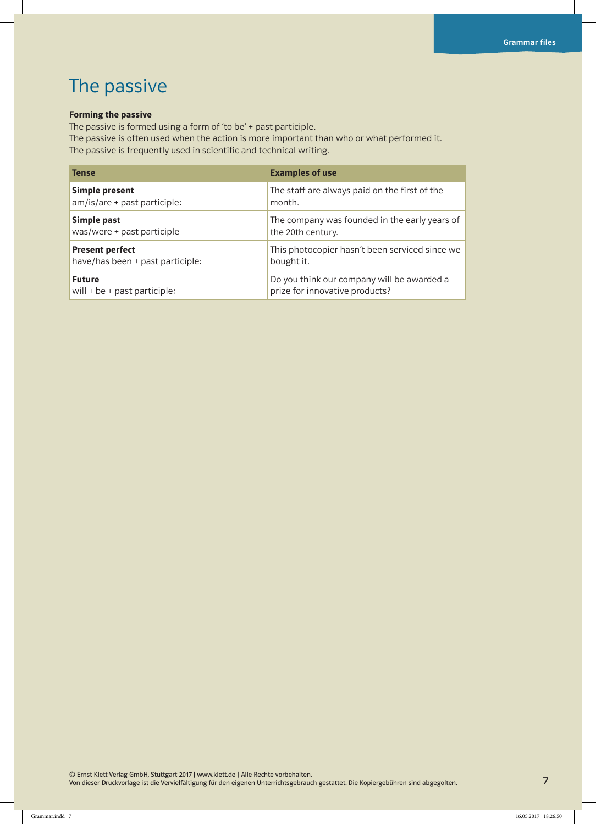### The passive

#### Forming the passive

The passive is formed using a form of 'to be' + past participle.

The passive is often used when the action is more important than who or what performed it. The passive is frequently used in scientific and technical writing.

| <b>Tense</b>                     | <b>Examples of use</b>                         |
|----------------------------------|------------------------------------------------|
| <b>Simple present</b>            | The staff are always paid on the first of the  |
| am/is/are + past participle:     | month.                                         |
| Simple past                      | The company was founded in the early years of  |
| was/were + past participle       | the 20th century.                              |
| <b>Present perfect</b>           | This photocopier hasn't been serviced since we |
| have/has been + past participle: | bought it.                                     |
| <b>Future</b>                    | Do you think our company will be awarded a     |
| will $+$ be $+$ past participle: | prize for innovative products?                 |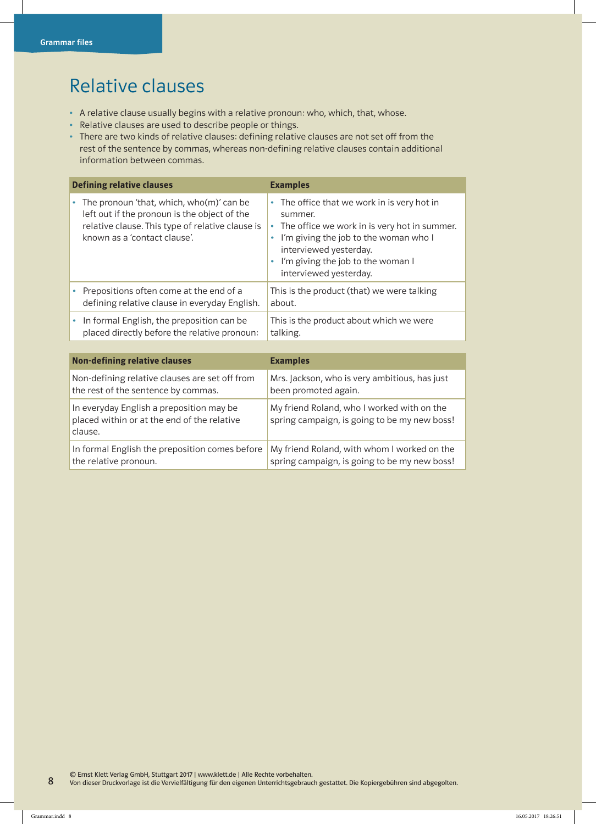### Relative clauses

- A relative clause usually begins with a relative pronoun: who, which, that, whose.
- Relative clauses are used to describe people or things.
- There are two kinds of relative clauses: defining relative clauses are not set off from the rest of the sentence by commas, whereas non-defining relative clauses contain additional information between commas.

|   | <b>Defining relative clauses</b>                                                                                                                                             | <b>Examples</b>                                                                                                                                                                                                                                         |  |
|---|------------------------------------------------------------------------------------------------------------------------------------------------------------------------------|---------------------------------------------------------------------------------------------------------------------------------------------------------------------------------------------------------------------------------------------------------|--|
| ٠ | The pronoun 'that, which, who(m)' can be<br>left out if the pronoun is the object of the<br>relative clause. This type of relative clause is<br>known as a 'contact clause'. | • The office that we work in is very hot in<br>summer.<br>The office we work in is very hot in summer.<br>٠<br>I'm giving the job to the woman who I<br>۰<br>interviewed yesterday.<br>I'm giving the job to the woman I<br>۰<br>interviewed yesterday. |  |
| ٠ | Prepositions often come at the end of a<br>defining relative clause in everyday English.                                                                                     | This is the product (that) we were talking<br>about.                                                                                                                                                                                                    |  |
| ۰ | In formal English, the preposition can be<br>placed directly before the relative pronoun:                                                                                    | This is the product about which we were<br>talking.                                                                                                                                                                                                     |  |
|   |                                                                                                                                                                              |                                                                                                                                                                                                                                                         |  |
|   | <b>Non-defining relative clauses</b>                                                                                                                                         | <b>Examples</b>                                                                                                                                                                                                                                         |  |
|   | Non-defining relative clauses are set off from<br>the rest of the sentence by commas.                                                                                        | Mrs. Jackson, who is very ambitious, has just<br>been promoted again.                                                                                                                                                                                   |  |
|   | In everyday English a preposition may be<br>placed within or at the end of the relative<br>clause.                                                                           | My friend Roland, who I worked with on the<br>spring campaign, is going to be my new boss!                                                                                                                                                              |  |
|   | In formal English the preposition comes before<br>the relative pronoun.                                                                                                      | My friend Roland, with whom I worked on the<br>spring campaign, is going to be my new boss!                                                                                                                                                             |  |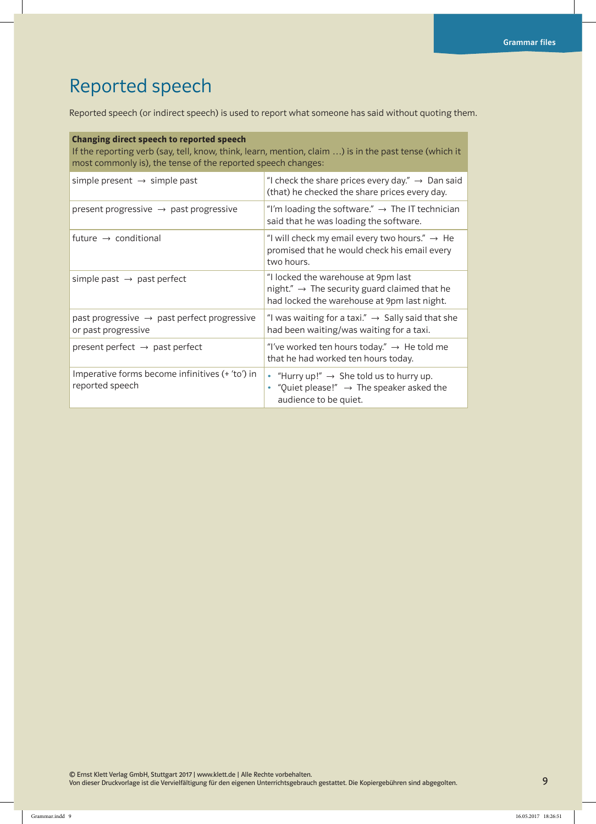## Reported speech

Reported speech (or indirect speech) is used to report what someone has said without quoting them.

| Changing direct speech to reported speech<br>If the reporting verb (say, tell, know, think, learn, mention, claim ) is in the past tense (which it<br>most commonly is), the tense of the reported speech changes: |                                                                                                                                                |
|--------------------------------------------------------------------------------------------------------------------------------------------------------------------------------------------------------------------|------------------------------------------------------------------------------------------------------------------------------------------------|
| simple present $\rightarrow$ simple past                                                                                                                                                                           | "I check the share prices every day." $\rightarrow$ Dan said<br>(that) he checked the share prices every day.                                  |
| present progressive $\rightarrow$ past progressive                                                                                                                                                                 | "I'm loading the software." $\rightarrow$ The IT technician<br>said that he was loading the software.                                          |
| future $\rightarrow$ conditional                                                                                                                                                                                   | "I will check my email every two hours." $\rightarrow$ He<br>promised that he would check his email every<br>two hours.                        |
| simple past $\rightarrow$ past perfect                                                                                                                                                                             | "I locked the warehouse at 9pm last<br>night." $\rightarrow$ The security guard claimed that he<br>had locked the warehouse at 9pm last night. |
| past progressive $\rightarrow$ past perfect progressive<br>or past progressive                                                                                                                                     | "I was waiting for a taxi." $\rightarrow$ Sally said that she<br>had been waiting/was waiting for a taxi.                                      |
| present perfect $\rightarrow$ past perfect                                                                                                                                                                         | "I've worked ten hours today." $\rightarrow$ He told me<br>that he had worked ten hours today.                                                 |
| Imperative forms become infinitives (+ 'to') in<br>reported speech                                                                                                                                                 | • "Hurry up!" $\rightarrow$ She told us to hurry up.<br>• "Quiet please!" $\rightarrow$ The speaker asked the<br>audience to be quiet.         |